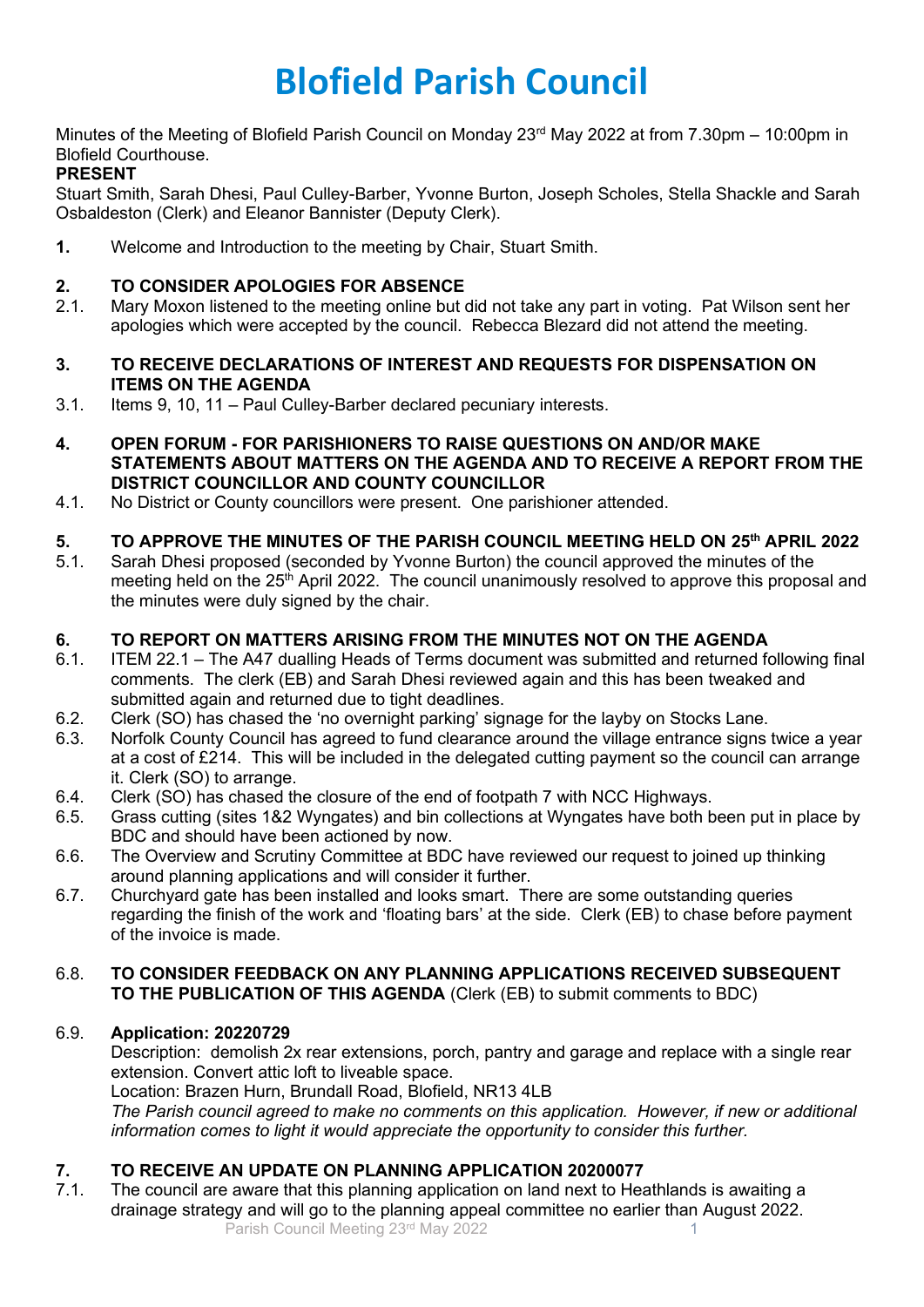# **Blofield Parish Council**

Minutes of the Meeting of Blofield Parish Council on Monday 23<sup>rd</sup> May 2022 at from 7.30pm – 10:00pm in Blofield Courthouse.

# **PRESENT**

Stuart Smith, Sarah Dhesi, Paul Culley-Barber, Yvonne Burton, Joseph Scholes, Stella Shackle and Sarah Osbaldeston (Clerk) and Eleanor Bannister (Deputy Clerk).

**1.** Welcome and Introduction to the meeting by Chair, Stuart Smith.

# **2. TO CONSIDER APOLOGIES FOR ABSENCE**

- 2.1. Mary Moxon listened to the meeting online but did not take any part in voting. Pat Wilson sent her apologies which were accepted by the council. Rebecca Blezard did not attend the meeting.
- **3. TO RECEIVE DECLARATIONS OF INTEREST AND REQUESTS FOR DISPENSATION ON ITEMS ON THE AGENDA**
- 3.1. Items 9, 10, 11 Paul Culley-Barber declared pecuniary interests.
- **4. OPEN FORUM - FOR PARISHIONERS TO RAISE QUESTIONS ON AND/OR MAKE STATEMENTS ABOUT MATTERS ON THE AGENDA AND TO RECEIVE A REPORT FROM THE DISTRICT COUNCILLOR AND COUNTY COUNCILLOR**
- 4.1. No District or County councillors were present. One parishioner attended.

# **5. TO APPROVE THE MINUTES OF THE PARISH COUNCIL MEETING HELD ON 25th APRIL 2022**

5.1. Sarah Dhesi proposed (seconded by Yvonne Burton) the council approved the minutes of the meeting held on the 25<sup>th</sup> April 2022. The council unanimously resolved to approve this proposal and the minutes were duly signed by the chair.

# **6. TO REPORT ON MATTERS ARISING FROM THE MINUTES NOT ON THE AGENDA**

- 6.1. ITEM 22.1 The A47 dualling Heads of Terms document was submitted and returned following final comments. The clerk (EB) and Sarah Dhesi reviewed again and this has been tweaked and submitted again and returned due to tight deadlines.
- 6.2. Clerk (SO) has chased the 'no overnight parking' signage for the layby on Stocks Lane.
- 6.3. Norfolk County Council has agreed to fund clearance around the village entrance signs twice a year at a cost of £214. This will be included in the delegated cutting payment so the council can arrange it. Clerk (SO) to arrange.
- 6.4. Clerk (SO) has chased the closure of the end of footpath 7 with NCC Highways.
- 6.5. Grass cutting (sites 1&2 Wyngates) and bin collections at Wyngates have both been put in place by BDC and should have been actioned by now.
- 6.6. The Overview and Scrutiny Committee at BDC have reviewed our request to joined up thinking around planning applications and will consider it further.
- 6.7. Churchyard gate has been installed and looks smart. There are some outstanding queries regarding the finish of the work and 'floating bars' at the side. Clerk (EB) to chase before payment of the invoice is made.

#### 6.8. **TO CONSIDER FEEDBACK ON ANY PLANNING APPLICATIONS RECEIVED SUBSEQUENT TO THE PUBLICATION OF THIS AGENDA** (Clerk (EB) to submit comments to BDC)

# 6.9. **Application: 20220729**

Description: demolish 2x rear extensions, porch, pantry and garage and replace with a single rear extension. Convert attic loft to liveable space.

Location: Brazen Hurn, Brundall Road, Blofield, NR13 4LB

*The Parish council agreed to make no comments on this application. However, if new or additional information comes to light it would appreciate the opportunity to consider this further.* 

# **7. TO RECEIVE AN UPDATE ON PLANNING APPLICATION 20200077**

Parish Council Meeting 23rd May 2022 7.1. The council are aware that this planning application on land next to Heathlands is awaiting a drainage strategy and will go to the planning appeal committee no earlier than August 2022.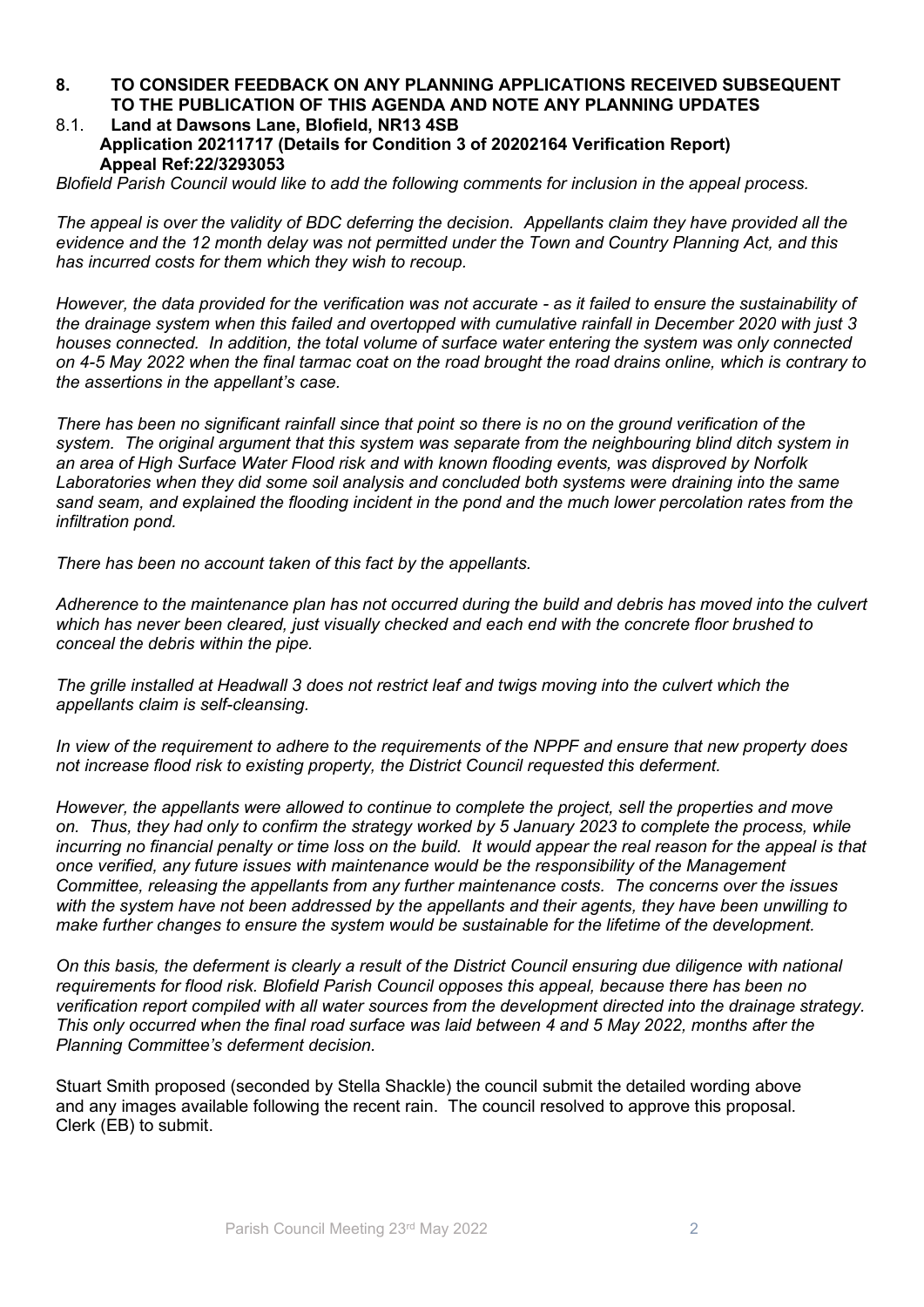- **8. TO CONSIDER FEEDBACK ON ANY PLANNING APPLICATIONS RECEIVED SUBSEQUENT TO THE PUBLICATION OF THIS AGENDA AND NOTE ANY PLANNING UPDATES**
- 8.1. **Land at Dawsons Lane, Blofield, NR13 4SB Application 20211717 (Details for Condition 3 of 20202164 Verification Report) Appeal Ref:22/3293053**

*Blofield Parish Council would like to add the following comments for inclusion in the appeal process.*

*The appeal is over the validity of BDC deferring the decision. Appellants claim they have provided all the evidence and the 12 month delay was not permitted under the Town and Country Planning Act, and this has incurred costs for them which they wish to recoup.*

*However, the data provided for the verification was not accurate - as it failed to ensure the sustainability of the drainage system when this failed and overtopped with cumulative rainfall in December 2020 with just 3 houses connected. In addition, the total volume of surface water entering the system was only connected on 4-5 May 2022 when the final tarmac coat on the road brought the road drains online, which is contrary to the assertions in the appellant's case.*

*There has been no significant rainfall since that point so there is no on the ground verification of the system. The original argument that this system was separate from the neighbouring blind ditch system in an area of High Surface Water Flood risk and with known flooding events, was disproved by Norfolk Laboratories when they did some soil analysis and concluded both systems were draining into the same sand seam, and explained the flooding incident in the pond and the much lower percolation rates from the infiltration pond.*

*There has been no account taken of this fact by the appellants.*

*Adherence to the maintenance plan has not occurred during the build and debris has moved into the culvert which has never been cleared, just visually checked and each end with the concrete floor brushed to conceal the debris within the pipe.*

*The grille installed at Headwall 3 does not restrict leaf and twigs moving into the culvert which the appellants claim is self-cleansing.*

*In view of the requirement to adhere to the requirements of the NPPF and ensure that new property does not increase flood risk to existing property, the District Council requested this deferment.*

*However, the appellants were allowed to continue to complete the project, sell the properties and move on. Thus, they had only to confirm the strategy worked by 5 January 2023 to complete the process, while incurring no financial penalty or time loss on the build. It would appear the real reason for the appeal is that once verified, any future issues with maintenance would be the responsibility of the Management Committee, releasing the appellants from any further maintenance costs. The concerns over the issues with the system have not been addressed by the appellants and their agents, they have been unwilling to make further changes to ensure the system would be sustainable for the lifetime of the development.*

*On this basis, the deferment is clearly a result of the District Council ensuring due diligence with national requirements for flood risk. Blofield Parish Council opposes this appeal, because there has been no verification report compiled with all water sources from the development directed into the drainage strategy. This only occurred when the final road surface was laid between 4 and 5 May 2022, months after the Planning Committee's deferment decision.*

Stuart Smith proposed (seconded by Stella Shackle) the council submit the detailed wording above and any images available following the recent rain. The council resolved to approve this proposal. Clerk (EB) to submit.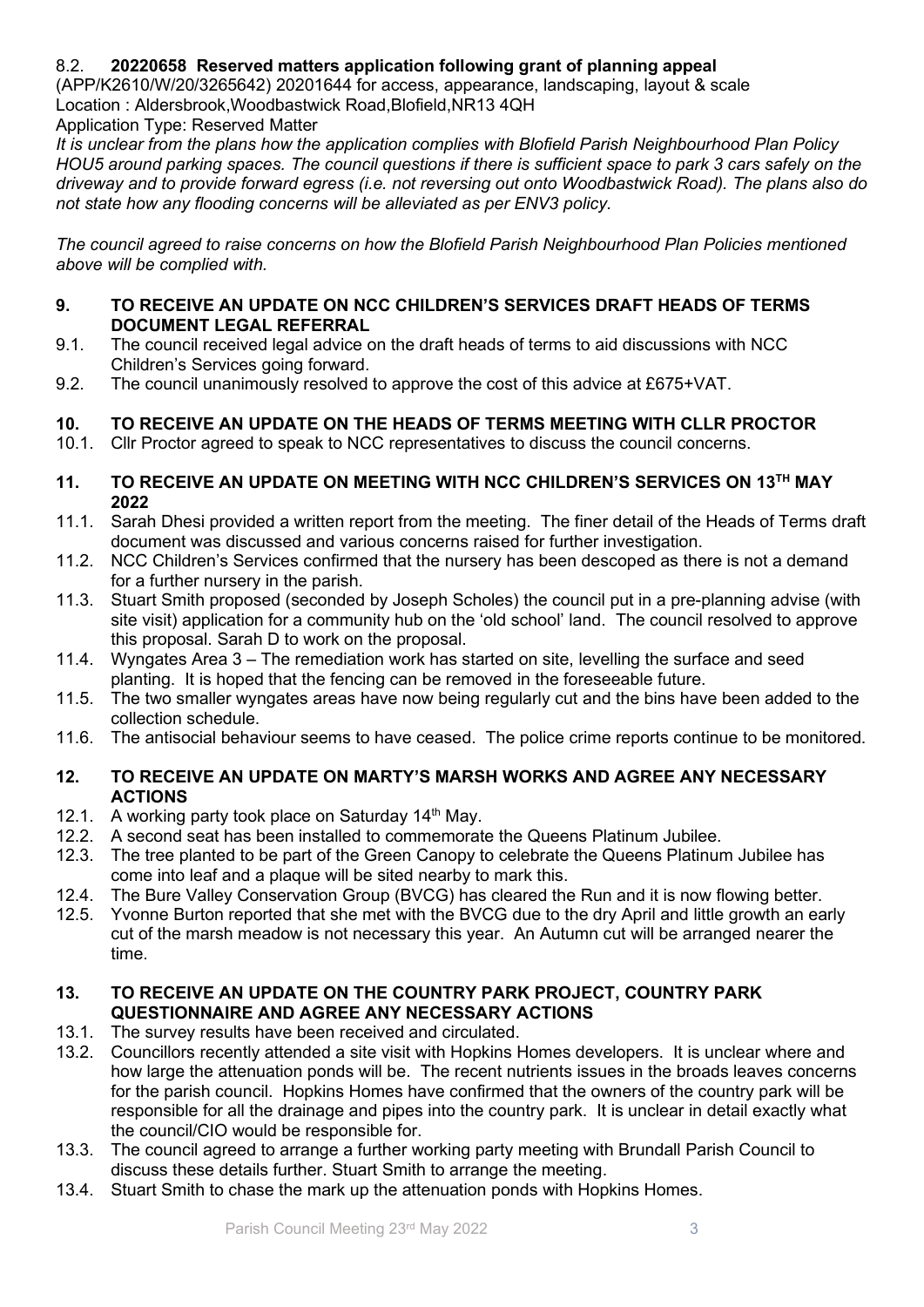# 8.2. **20220658 Reserved matters application following grant of planning appeal**

(APP/K2610/W/20/3265642) 20201644 for access, appearance, landscaping, layout & scale Location : Aldersbrook,Woodbastwick Road,Blofield,NR13 4QH

Application Type: Reserved Matter

*It is unclear from the plans how the application complies with Blofield Parish Neighbourhood Plan Policy HOU5 around parking spaces. The council questions if there is sufficient space to park 3 cars safely on the driveway and to provide forward egress (i.e. not reversing out onto Woodbastwick Road). The plans also do not state how any flooding concerns will be alleviated as per ENV3 policy.*

*The council agreed to raise concerns on how the Blofield Parish Neighbourhood Plan Policies mentioned above will be complied with.*

#### **9. TO RECEIVE AN UPDATE ON NCC CHILDREN'S SERVICES DRAFT HEADS OF TERMS DOCUMENT LEGAL REFERRAL**

- 9.1. The council received legal advice on the draft heads of terms to aid discussions with NCC Children's Services going forward.
- 9.2. The council unanimously resolved to approve the cost of this advice at £675+VAT.

# **10. TO RECEIVE AN UPDATE ON THE HEADS OF TERMS MEETING WITH CLLR PROCTOR**

10.1. Cllr Proctor agreed to speak to NCC representatives to discuss the council concerns.

#### **11. TO RECEIVE AN UPDATE ON MEETING WITH NCC CHILDREN'S SERVICES ON 13TH MAY 2022**

- 11.1. Sarah Dhesi provided a written report from the meeting. The finer detail of the Heads of Terms draft document was discussed and various concerns raised for further investigation.
- 11.2. NCC Children's Services confirmed that the nursery has been descoped as there is not a demand for a further nursery in the parish.
- 11.3. Stuart Smith proposed (seconded by Joseph Scholes) the council put in a pre-planning advise (with site visit) application for a community hub on the 'old school' land. The council resolved to approve this proposal. Sarah D to work on the proposal.
- 11.4. Wyngates Area 3 The remediation work has started on site, levelling the surface and seed planting. It is hoped that the fencing can be removed in the foreseeable future.
- 11.5. The two smaller wyngates areas have now being regularly cut and the bins have been added to the collection schedule.
- 11.6. The antisocial behaviour seems to have ceased. The police crime reports continue to be monitored.

#### **12. TO RECEIVE AN UPDATE ON MARTY'S MARSH WORKS AND AGREE ANY NECESSARY ACTIONS**

- 12.1. A working party took place on Saturday  $14<sup>th</sup>$  May.
- 12.2. A second seat has been installed to commemorate the Queens Platinum Jubilee.
- 12.3. The tree planted to be part of the Green Canopy to celebrate the Queens Platinum Jubilee has come into leaf and a plaque will be sited nearby to mark this.
- 12.4. The Bure Valley Conservation Group (BVCG) has cleared the Run and it is now flowing better.
- 12.5. Yvonne Burton reported that she met with the BVCG due to the dry April and little growth an early cut of the marsh meadow is not necessary this year. An Autumn cut will be arranged nearer the time.

#### **13. TO RECEIVE AN UPDATE ON THE COUNTRY PARK PROJECT, COUNTRY PARK QUESTIONNAIRE AND AGREE ANY NECESSARY ACTIONS**

- 13.1. The survey results have been received and circulated.
- 13.2. Councillors recently attended a site visit with Hopkins Homes developers. It is unclear where and how large the attenuation ponds will be. The recent nutrients issues in the broads leaves concerns for the parish council. Hopkins Homes have confirmed that the owners of the country park will be responsible for all the drainage and pipes into the country park. It is unclear in detail exactly what the council/CIO would be responsible for.
- 13.3. The council agreed to arrange a further working party meeting with Brundall Parish Council to discuss these details further. Stuart Smith to arrange the meeting.
- 13.4. Stuart Smith to chase the mark up the attenuation ponds with Hopkins Homes.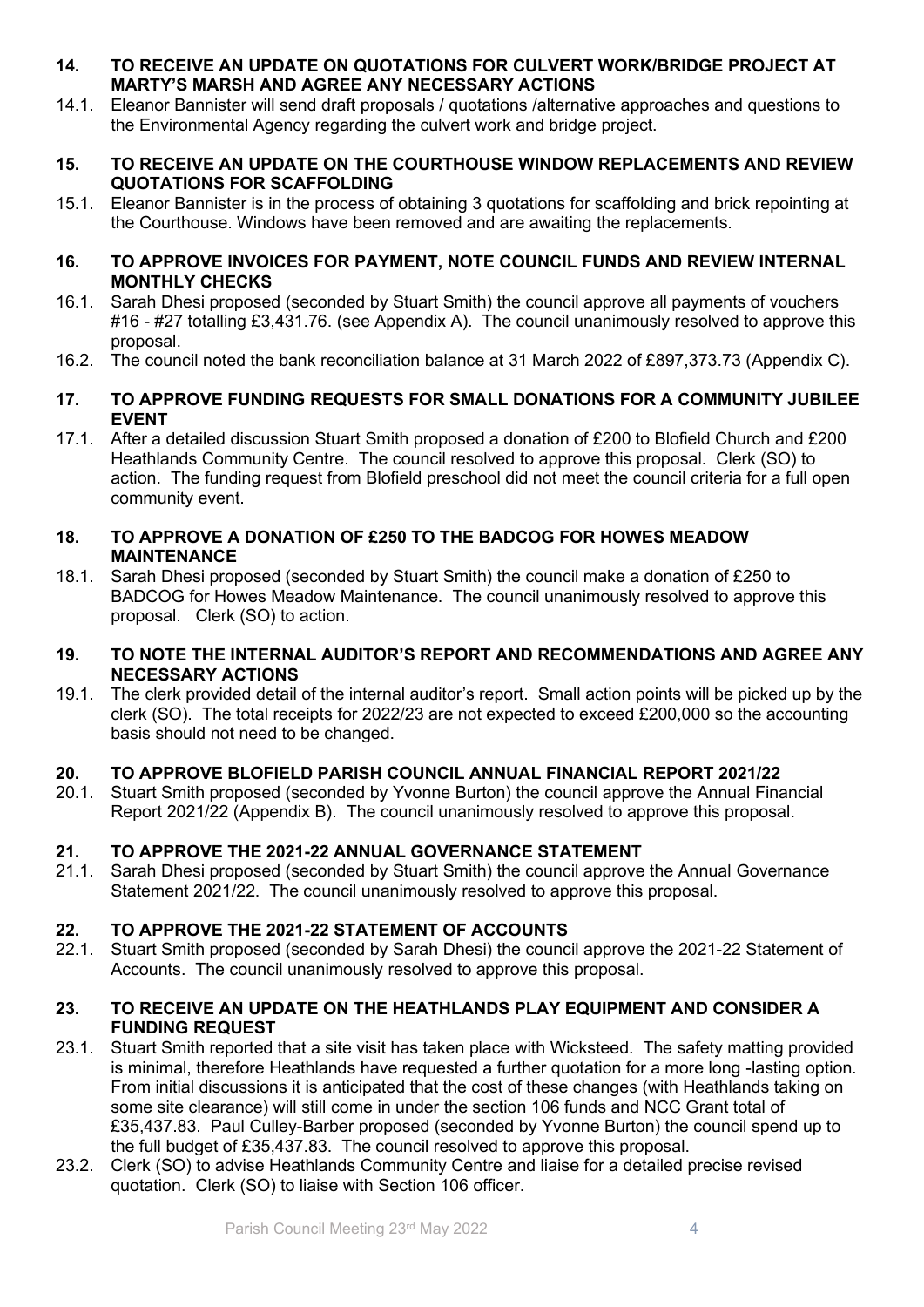- **14. TO RECEIVE AN UPDATE ON QUOTATIONS FOR CULVERT WORK/BRIDGE PROJECT AT MARTY'S MARSH AND AGREE ANY NECESSARY ACTIONS**
- 14.1. Eleanor Bannister will send draft proposals / quotations /alternative approaches and questions to the Environmental Agency regarding the culvert work and bridge project.

#### **15. TO RECEIVE AN UPDATE ON THE COURTHOUSE WINDOW REPLACEMENTS AND REVIEW QUOTATIONS FOR SCAFFOLDING**

- 15.1. Eleanor Bannister is in the process of obtaining 3 quotations for scaffolding and brick repointing at the Courthouse. Windows have been removed and are awaiting the replacements.
- **16. TO APPROVE INVOICES FOR PAYMENT, NOTE COUNCIL FUNDS AND REVIEW INTERNAL MONTHLY CHECKS**
- 16.1. Sarah Dhesi proposed (seconded by Stuart Smith) the council approve all payments of vouchers #16 - #27 totalling £3,431.76. (see Appendix A). The council unanimously resolved to approve this proposal.
- 16.2. The council noted the bank reconciliation balance at 31 March 2022 of £897,373.73 (Appendix C).

#### **17. TO APPROVE FUNDING REQUESTS FOR SMALL DONATIONS FOR A COMMUNITY JUBILEE EVENT**

17.1. After a detailed discussion Stuart Smith proposed a donation of £200 to Blofield Church and £200 Heathlands Community Centre. The council resolved to approve this proposal. Clerk (SO) to action. The funding request from Blofield preschool did not meet the council criteria for a full open community event.

#### **18. TO APPROVE A DONATION OF £250 TO THE BADCOG FOR HOWES MEADOW MAINTENANCE**

18.1. Sarah Dhesi proposed (seconded by Stuart Smith) the council make a donation of £250 to BADCOG for Howes Meadow Maintenance. The council unanimously resolved to approve this proposal. Clerk (SO) to action.

#### **19. TO NOTE THE INTERNAL AUDITOR'S REPORT AND RECOMMENDATIONS AND AGREE ANY NECESSARY ACTIONS**

19.1. The clerk provided detail of the internal auditor's report. Small action points will be picked up by the clerk (SO). The total receipts for 2022/23 are not expected to exceed £200,000 so the accounting basis should not need to be changed.

# **20. TO APPROVE BLOFIELD PARISH COUNCIL ANNUAL FINANCIAL REPORT 2021/22**

20.1. Stuart Smith proposed (seconded by Yvonne Burton) the council approve the Annual Financial Report 2021/22 (Appendix B). The council unanimously resolved to approve this proposal.

# **21. TO APPROVE THE 2021-22 ANNUAL GOVERNANCE STATEMENT**

21.1. Sarah Dhesi proposed (seconded by Stuart Smith) the council approve the Annual Governance Statement 2021/22. The council unanimously resolved to approve this proposal.

# **22. TO APPROVE THE 2021-22 STATEMENT OF ACCOUNTS**

22.1. Stuart Smith proposed (seconded by Sarah Dhesi) the council approve the 2021-22 Statement of Accounts. The council unanimously resolved to approve this proposal.

#### **23. TO RECEIVE AN UPDATE ON THE HEATHLANDS PLAY EQUIPMENT AND CONSIDER A FUNDING REQUEST**

- 23.1. Stuart Smith reported that a site visit has taken place with Wicksteed. The safety matting provided is minimal, therefore Heathlands have requested a further quotation for a more long -lasting option. From initial discussions it is anticipated that the cost of these changes (with Heathlands taking on some site clearance) will still come in under the section 106 funds and NCC Grant total of £35,437.83. Paul Culley-Barber proposed (seconded by Yvonne Burton) the council spend up to the full budget of £35,437.83. The council resolved to approve this proposal.
- 23.2. Clerk (SO) to advise Heathlands Community Centre and liaise for a detailed precise revised quotation. Clerk (SO) to liaise with Section 106 officer.